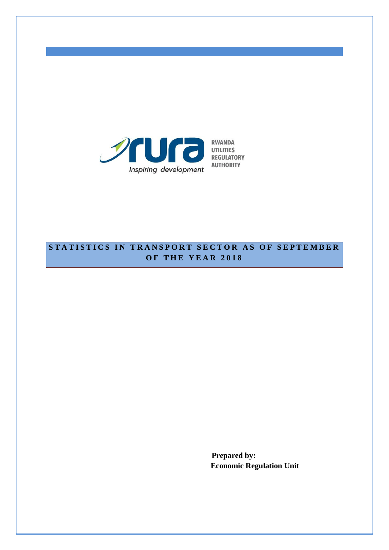

## **STATISTICS IN TRANSPORT SECTOR AS OF SEPTEMBER O F T H E Y E A R 201 8**

**Prepared by: Economic Regulation Unit**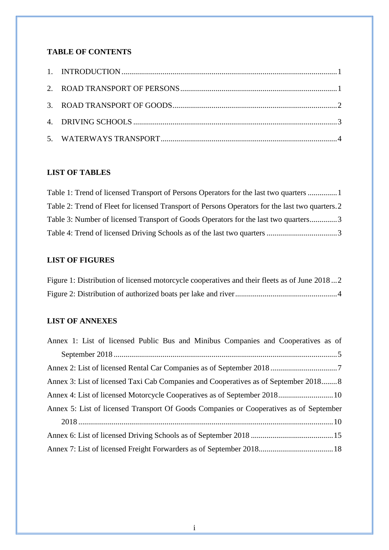## **TABLE OF CONTENTS**

## **LIST OF TABLES**

| Table 1: Trend of licensed Transport of Persons Operators for the last two quarters  1           |  |
|--------------------------------------------------------------------------------------------------|--|
| Table 2: Trend of Fleet for licensed Transport of Persons Operators for the last two quarters. 2 |  |
| Table 3: Number of licensed Transport of Goods Operators for the last two quarters3              |  |
|                                                                                                  |  |

### **LIST OF FIGURES**

| Figure 1: Distribution of licensed motorcycle cooperatives and their fleets as of June 20182 |  |
|----------------------------------------------------------------------------------------------|--|
|                                                                                              |  |

## **LIST OF ANNEXES**

| Annex 1: List of licensed Public Bus and Minibus Companies and Cooperatives as of      |  |
|----------------------------------------------------------------------------------------|--|
|                                                                                        |  |
|                                                                                        |  |
| Annex 3: List of licensed Taxi Cab Companies and Cooperatives as of September 2018 8   |  |
| Annex 4: List of licensed Motorcycle Cooperatives as of September 2018 10              |  |
| Annex 5: List of licensed Transport Of Goods Companies or Cooperatives as of September |  |
|                                                                                        |  |
|                                                                                        |  |
|                                                                                        |  |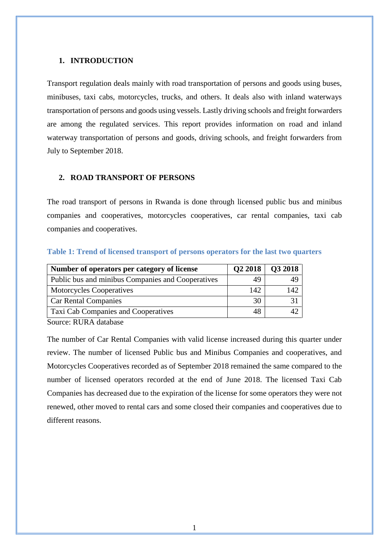#### <span id="page-2-0"></span>**1. INTRODUCTION**

Transport regulation deals mainly with road transportation of persons and goods using buses, minibuses, taxi cabs, motorcycles, trucks, and others. It deals also with inland waterways transportation of persons and goods using vessels. Lastly driving schools and freight forwarders are among the regulated services. This report provides information on road and inland waterway transportation of persons and goods, driving schools, and freight forwarders from July to September 2018.

### <span id="page-2-1"></span>**2. ROAD TRANSPORT OF PERSONS**

The road transport of persons in Rwanda is done through licensed public bus and minibus companies and cooperatives, motorcycles cooperatives, car rental companies, taxi cab companies and cooperatives.

| Number of operators per category of license       | Q22018 | Q3 2018 |
|---------------------------------------------------|--------|---------|
| Public bus and minibus Companies and Cooperatives | 49     | 49      |
| <b>Motorcycles Cooperatives</b>                   | 142    | 142     |
| <b>Car Rental Companies</b>                       | 30     |         |
| Taxi Cab Companies and Cooperatives               | 48     |         |

#### <span id="page-2-2"></span>**Table 1: Trend of licensed transport of persons operators for the last two quarters**

Source: RURA database

The number of Car Rental Companies with valid license increased during this quarter under review. The number of licensed Public bus and Minibus Companies and cooperatives, and Motorcycles Cooperatives recorded as of September 2018 remained the same compared to the number of licensed operators recorded at the end of June 2018. The licensed Taxi Cab Companies has decreased due to the expiration of the license for some operators they were not renewed, other moved to rental cars and some closed their companies and cooperatives due to different reasons.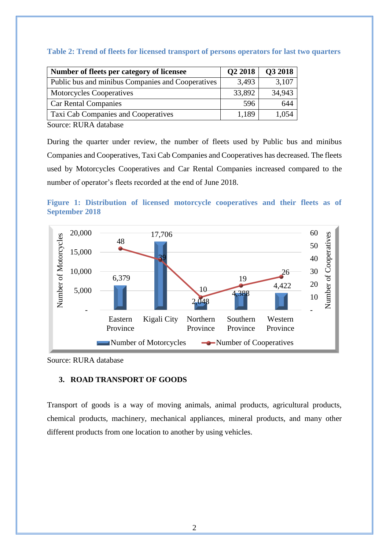| Number of fleets per category of licensee         | Q2 2018 | Q3 2018 |
|---------------------------------------------------|---------|---------|
| Public bus and minibus Companies and Cooperatives | 3,493   | 3,107   |
| <b>Motorcycles Cooperatives</b>                   | 33,892  | 34,943  |
| <b>Car Rental Companies</b>                       | 596     | 644     |
| Taxi Cab Companies and Cooperatives               | 1,189   | 1,054   |

#### <span id="page-3-1"></span>**Table 2: Trend of fleets for licensed transport of persons operators for last two quarters**

Source: RURA database

During the quarter under review, the number of fleets used by Public bus and minibus Companies and Cooperatives, Taxi Cab Companies and Cooperatives has decreased. The fleets used by Motorcycles Cooperatives and Car Rental Companies increased compared to the number of operator's fleets recorded at the end of June 2018.

<span id="page-3-2"></span>



Source: RURA database

#### <span id="page-3-0"></span>**3. ROAD TRANSPORT OF GOODS**

Transport of goods is a way of moving animals, animal products, agricultural products, chemical products, machinery, mechanical appliances, mineral products, and many other different products from one location to another by using vehicles.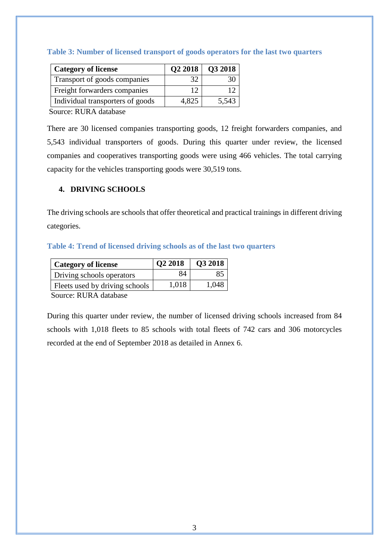| <b>Category of license</b>       |       | $Q2 2018$   $Q3 2018$ |
|----------------------------------|-------|-----------------------|
| Transport of goods companies     | 32.   |                       |
| Freight forwarders companies     |       |                       |
| Individual transporters of goods | 4,825 | 5,543                 |

#### <span id="page-4-1"></span>**Table 3: Number of licensed transport of goods operators for the last two quarters**

Source: RURA database

There are 30 licensed companies transporting goods, 12 freight forwarders companies, and 5,543 individual transporters of goods. During this quarter under review, the licensed companies and cooperatives transporting goods were using 466 vehicles. The total carrying capacity for the vehicles transporting goods were 30,519 tons.

#### <span id="page-4-0"></span>**4. DRIVING SCHOOLS**

The driving schools are schools that offer theoretical and practical trainings in different driving categories.

#### <span id="page-4-2"></span>**Table 4: Trend of licensed driving schools as of the last two quarters**

| <b>Category of license</b>     | Q2 2018 | Q3 2018 |
|--------------------------------|---------|---------|
| Driving schools operators      | 84      | 85      |
| Fleets used by driving schools | 1,018   | 1,048   |

Source: RURA database

During this quarter under review, the number of licensed driving schools increased from 84 schools with 1,018 fleets to 85 schools with total fleets of 742 cars and 306 motorcycles recorded at the end of September 2018 as detailed in Annex 6.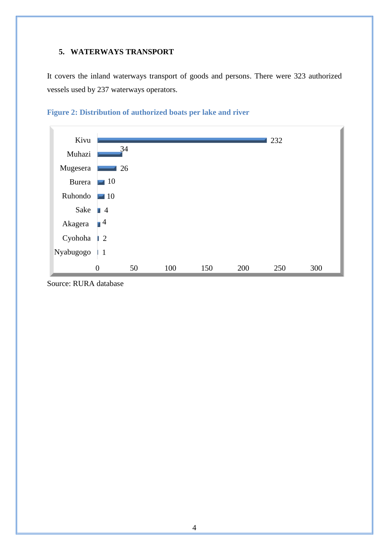### <span id="page-5-0"></span>**5. WATERWAYS TRANSPORT**

It covers the inland waterways transport of goods and persons. There were 323 authorized vessels used by 237 waterways operators.



### <span id="page-5-1"></span>**Figure 2: Distribution of authorized boats per lake and river**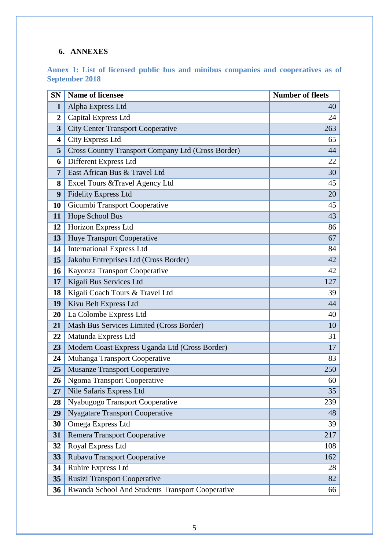## **6. ANNEXES**

<span id="page-6-0"></span>**Annex 1: List of licensed public bus and minibus companies and cooperatives as of September 2018**

| <b>SN</b>        | <b>Name of licensee</b>                            | <b>Number of fleets</b> |
|------------------|----------------------------------------------------|-------------------------|
| $\mathbf{1}$     | Alpha Express Ltd                                  | 40                      |
| $\boldsymbol{2}$ | Capital Express Ltd                                | 24                      |
| 3                | <b>City Center Transport Cooperative</b>           | 263                     |
| 4                | <b>City Express Ltd</b>                            | 65                      |
| 5                | Cross Country Transport Company Ltd (Cross Border) | 44                      |
| 6                | Different Express Ltd                              | 22                      |
| $\overline{7}$   | East African Bus & Travel Ltd                      | 30                      |
| 8                | Excel Tours & Travel Agency Ltd                    | 45                      |
| 9                | <b>Fidelity Express Ltd</b>                        | 20                      |
| 10               | Gicumbi Transport Cooperative                      | 45                      |
| 11               | Hope School Bus                                    | 43                      |
| 12               | Horizon Express Ltd                                | 86                      |
| 13               | <b>Huye Transport Cooperative</b>                  | 67                      |
| 14               | <b>International Express Ltd</b>                   | 84                      |
| 15               | Jakobu Entreprises Ltd (Cross Border)              | 42                      |
| 16               | Kayonza Transport Cooperative                      | 42                      |
| 17               | Kigali Bus Services Ltd                            | 127                     |
| 18               | Kigali Coach Tours & Travel Ltd                    | 39                      |
| 19               | Kivu Belt Express Ltd                              | 44                      |
| 20               | La Colombe Express Ltd                             | 40                      |
| 21               | Mash Bus Services Limited (Cross Border)           | 10                      |
| 22               | Matunda Express Ltd                                | 31                      |
| 23               | Modern Coast Express Uganda Ltd (Cross Border)     | 17                      |
| 24               | Muhanga Transport Cooperative                      | 83                      |
| 25               | <b>Musanze Transport Cooperative</b>               | 250                     |
| 26               | <b>Ngoma Transport Cooperative</b>                 | 60                      |
| 27               | Nile Safaris Express Ltd                           | 35                      |
| 28               | Nyabugogo Transport Cooperative                    | 239                     |
| 29               | <b>Nyagatare Transport Cooperative</b>             | 48                      |
| 30               | Omega Express Ltd                                  | 39                      |
| 31               | <b>Remera Transport Cooperative</b>                | 217                     |
| 32               | Royal Express Ltd                                  | 108                     |
| 33               | <b>Rubavu Transport Cooperative</b>                | 162                     |
| 34               | Ruhire Express Ltd                                 | 28                      |
| 35               | Rusizi Transport Cooperative                       | 82                      |
| 36               | Rwanda School And Students Transport Cooperative   | 66                      |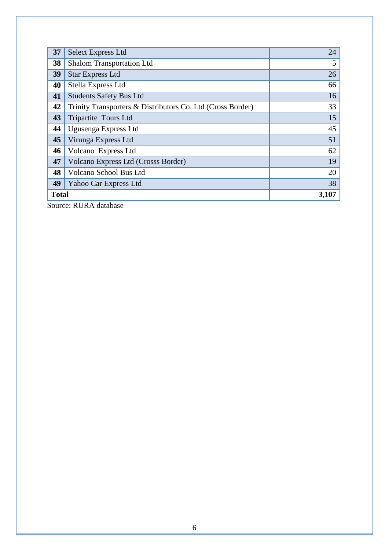| 37           | <b>Select Express Ltd</b>                                  | 24    |
|--------------|------------------------------------------------------------|-------|
| 38           | <b>Shalom Transportation Ltd</b>                           | 5     |
| 39           | <b>Star Express Ltd</b>                                    | 26    |
| 40           | Stella Express Ltd                                         | 66    |
| 41           | <b>Students Safety Bus Ltd</b>                             | 16    |
| 42           | Trinity Transporters & Distributors Co. Ltd (Cross Border) | 33    |
| 43           | Tripartite Tours Ltd                                       | 15    |
| 44           | Ugusenga Express Ltd                                       | 45    |
| 45           | Virunga Express Ltd                                        | 51    |
| 46           | Volcano Express Ltd                                        | 62    |
| 47           | Volcano Express Ltd (Crosss Border)                        | 19    |
| 48           | Volcano School Bus Ltd                                     | 20    |
| 49           | Yahoo Car Express Ltd                                      | 38    |
| <b>Total</b> |                                                            | 3,107 |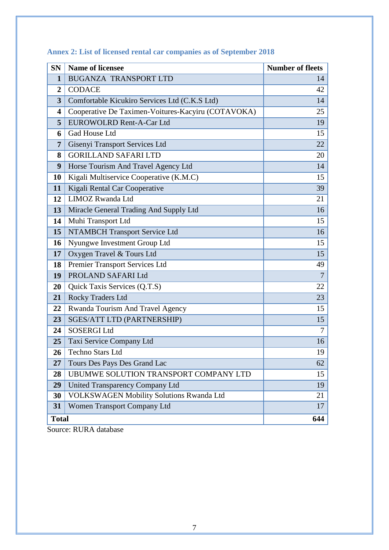<span id="page-8-1"></span>

| <b>SN</b>      | <b>Name of licensee</b>                            | <b>Number of fleets</b> |
|----------------|----------------------------------------------------|-------------------------|
| 1              | <b>BUGANZA TRANSPORT LTD</b>                       | 14                      |
| $\overline{2}$ | <b>CODACE</b>                                      | 42                      |
| 3              | Comfortable Kicukiro Services Ltd (C.K.S Ltd)      | 14                      |
| 4              | Cooperative De Taximen-Voitures-Kacyiru (COTAVOKA) | 25                      |
| 5              | <b>EUROWOLRD Rent-A-Car Ltd</b>                    | 19                      |
| 6              | Gad House Ltd                                      | 15                      |
| 7              | Gisenyi Transport Services Ltd                     | 22                      |
| 8              | <b>GORILLAND SAFARI LTD</b>                        | 20                      |
| 9              | Horse Tourism And Travel Agency Ltd                | 14                      |
| <b>10</b>      | Kigali Multiservice Cooperative (K.M.C)            | 15                      |
| 11             | Kigali Rental Car Cooperative                      | 39                      |
| 12             | LIMOZ Rwanda Ltd                                   | 21                      |
| 13             | Miracle General Trading And Supply Ltd             | 16                      |
| 14             | Muhi Transport Ltd                                 | 15                      |
| 15             | <b>NTAMBCH Transport Service Ltd</b>               | 16                      |
| 16             | Nyungwe Investment Group Ltd                       | 15                      |
| 17             | Oxygen Travel & Tours Ltd                          | 15                      |
| 18             | Premier Transport Services Ltd                     | 49                      |
| 19             | PROLAND SAFARI Ltd                                 | $\overline{7}$          |
| 20             | Quick Taxis Services (Q.T.S)                       | 22                      |
| 21             | Rocky Traders Ltd                                  | 23                      |
| 22             | Rwanda Tourism And Travel Agency                   | 15                      |
| 23             | <b>SGES/ATT LTD (PARTNERSHIP)</b>                  | 15                      |
| 24             | <b>SOSERGI Ltd</b>                                 | 7                       |
| 25             | Taxi Service Company Ltd                           | 16                      |
| 26             | <b>Techno Stars Ltd</b>                            | 19                      |
| 27             | Tours Des Pays Des Grand Lac                       | 62                      |
| 28             | UBUMWE SOLUTION TRANSPORT COMPANY LTD              | 15                      |
| 29             | <b>United Transparency Company Ltd</b>             | 19                      |
| 30             | <b>VOLKSWAGEN Mobility Solutions Rwanda Ltd</b>    | 21                      |
| 31             | Women Transport Company Ltd                        | 17                      |
| <b>Total</b>   |                                                    | 644                     |

<span id="page-8-0"></span>**Annex 2: List of licensed rental car companies as of September 2018**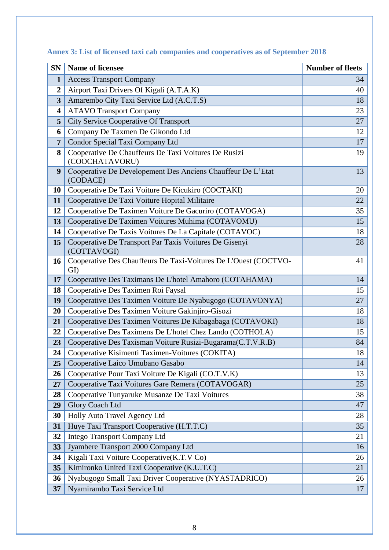| <b>SN</b>               | <b>Name of licensee</b>                                                 | <b>Number of fleets</b> |
|-------------------------|-------------------------------------------------------------------------|-------------------------|
| $\mathbf{1}$            | <b>Access Transport Company</b>                                         | 34                      |
| $\boldsymbol{2}$        | Airport Taxi Drivers Of Kigali (A.T.A.K)                                | 40                      |
| 3                       | Amarembo City Taxi Service Ltd (A.C.T.S)                                | 18                      |
| $\overline{\mathbf{4}}$ | <b>ATAVO Transport Company</b>                                          | 23                      |
| 5                       | <b>City Service Cooperative Of Transport</b>                            | 27                      |
| 6                       | Company De Taxmen De Gikondo Ltd                                        | 12                      |
| $\overline{7}$          | Condor Special Taxi Company Ltd                                         | 17                      |
| 8                       | Cooperative De Chauffeurs De Taxi Voitures De Rusizi<br>(COOCHATAVORU)  | 19                      |
| 9                       | Cooperative De Developement Des Anciens Chauffeur De L'Etat<br>(CODACE) | 13                      |
| 10                      | Cooperative De Taxi Voiture De Kicukiro (COCTAKI)                       | 20                      |
| 11                      | Cooperative De Taxi Voiture Hopital Militaire                           | 22                      |
| 12                      | Cooperative De Taximen Voiture De Gacuriro (COTAVOGA)                   | 35                      |
| 13                      | Cooperative De Taximen Voitures Muhima (COTAVOMU)                       | 15                      |
| 14                      | Cooperative De Taxis Voitures De La Capitale (COTAVOC)                  | 18                      |
| 15                      | Cooperative De Transport Par Taxis Voitures De Gisenyi<br>(COTTAVOGI)   | 28                      |
| 16                      | Cooperative Des Chauffeurs De Taxi-Voitures De L'Ouest (COCTVO-<br>GI)  | 41                      |
| 17                      | Cooperative Des Taximans De L'hotel Amahoro (COTAHAMA)                  | 14                      |
| 18                      | Cooperative Des Taximen Roi Faysal                                      | 15                      |
| 19                      | Cooperative Des Taximen Voiture De Nyabugogo (COTAVONYA)                | 27                      |
| 20                      | Cooperative Des Taximen Voiture Gakinjiro-Gisozi                        | 18                      |
| 21                      | Cooperative Des Taximen Voitures De Kibagabaga (COTAVOKI)               | 18                      |
| 22                      | Cooperative Des Taximens De L'hotel Chez Lando (COTHOLA)                | 15                      |
| 23                      | Cooperative Des Taxisman Voiture Rusizi-Bugarama(C.T.V.R.B)             | 84                      |
| 24                      | Cooperative Kisimenti Taximen-Voitures (COKITA)                         | 18                      |
| 25                      | Cooperative Laico Umubano Gasabo                                        | 14                      |
| 26                      | Cooperative Pour Taxi Voiture De Kigali (CO.T.V.K)                      | 13                      |
| 27                      | Cooperative Taxi Voitures Gare Remera (COTAVOGAR)                       | 25                      |
| 28                      | Cooperative Tunyaruke Musanze De Taxi Voitures                          | 38                      |
| 29                      | <b>Glory Coach Ltd</b>                                                  | 47                      |
| 30                      | Holly Auto Travel Agency Ltd                                            | 28                      |
| 31                      | Huye Taxi Transport Cooperative (H.T.T.C)                               | 35                      |
| 32                      | <b>Intego Transport Company Ltd</b>                                     | 21                      |
| 33                      | Jyambere Transport 2000 Company Ltd                                     | 16                      |
| 34                      | Kigali Taxi Voiture Cooperative(K.T.V Co)                               | 26                      |
| 35                      | Kimironko United Taxi Cooperative (K.U.T.C)                             | 21                      |
| 36                      | Nyabugogo Small Taxi Driver Cooperative (NYASTADRICO)                   | 26                      |
| 37                      | Nyamirambo Taxi Service Ltd                                             | 17                      |

**Annex 3: List of licensed taxi cab companies and cooperatives as of September 2018**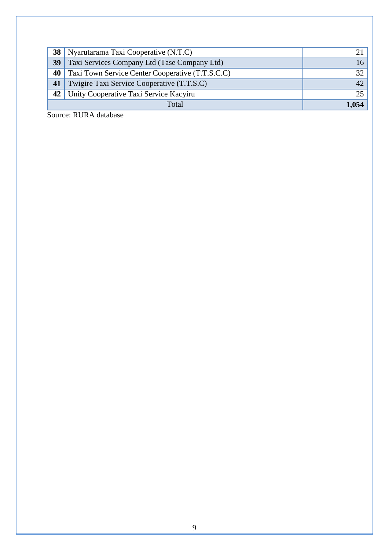| 38 <sup>1</sup> | Nyarutarama Taxi Cooperative (N.T.C)             |                 |
|-----------------|--------------------------------------------------|-----------------|
| 39              | Taxi Services Company Ltd (Tase Company Ltd)     | 16              |
| 40              | Taxi Town Service Center Cooperative (T.T.S.C.C) | 32 <sub>1</sub> |
| 41              | Twigire Taxi Service Cooperative (T.T.S.C)       | 42 <sup>1</sup> |
|                 | 42   Unity Cooperative Taxi Service Kacyiru      | 251             |
|                 | Total                                            | 1.054           |
|                 |                                                  |                 |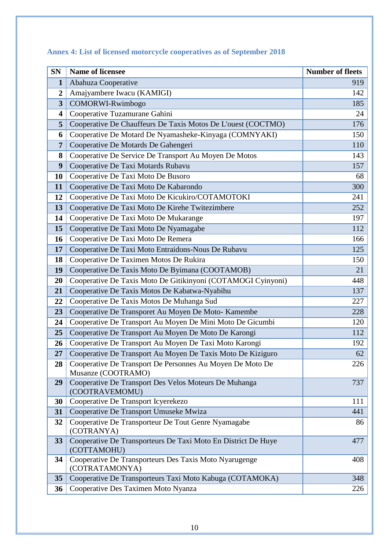<span id="page-11-1"></span>

| <b>SN</b>      | <b>Name of licensee</b>                                                      | <b>Number of fleets</b> |
|----------------|------------------------------------------------------------------------------|-------------------------|
| 1              | Abahuza Cooperative                                                          | 919                     |
| $\overline{2}$ | Amajyambere Iwacu (KAMIGI)                                                   | 142                     |
| 3              | COMORWI-Rwimbogo                                                             | 185                     |
| 4              | Cooperative Tuzamurane Gahini                                                | 24                      |
| 5              | Cooperative De Chauffeurs De Taxis Motos De L'ouest (COCTMO)                 | 176                     |
| 6              | Cooperative De Motard De Nyamasheke-Kinyaga (COMNYAKI)                       | 150                     |
| $\overline{7}$ | Cooperative De Motards De Gahengeri                                          | 110                     |
| 8              | Cooperative De Service De Transport Au Moyen De Motos                        | 143                     |
| 9              | Cooperative De Taxi Motards Rubavu                                           | 157                     |
| 10             | Cooperative De Taxi Moto De Busoro                                           | 68                      |
| 11             | Cooperative De Taxi Moto De Kabarondo                                        | 300                     |
| 12             | Cooperative De Taxi Moto De Kicukiro/COTAMOTOKI                              | 241                     |
| 13             | Cooperative De Taxi Moto De Kirehe Twitezimbere                              | 252                     |
| 14             | Cooperative De Taxi Moto De Mukarange                                        | 197                     |
| 15             | Cooperative De Taxi Moto De Nyamagabe                                        | 112                     |
| 16             | Cooperative De Taxi Moto De Remera                                           | 166                     |
| 17             | Cooperative De Taxi Moto Entraidons-Nous De Rubavu                           | 125                     |
| 18             | Cooperative De Taximen Motos De Rukira                                       | 150                     |
| 19             | Cooperative De Taxis Moto De Byimana (COOTAMOB)                              | 21                      |
| 20             | Cooperative De Taxis Moto De Gitikinyoni (COTAMOGI Cyinyoni)                 | 448                     |
| 21             | Cooperative De Taxis Motos De Kabatwa-Nyabihu                                | 137                     |
| 22             | Cooperative De Taxis Motos De Muhanga Sud                                    | 227                     |
| 23             | Cooperative De Transporet Au Moyen De Moto-Kamembe                           | 228                     |
| 24             | Cooperative De Transport Au Moyen De Mini Moto De Gicumbi                    | 120                     |
| 25             | Cooperative De Transport Au Moyen De Moto De Karongi                         | 112                     |
| 26             | Cooperative De Transport Au Moyen De Taxi Moto Karongi                       | 192                     |
| 27             | Cooperative De Transport Au Moyen De Taxis Moto De Kiziguro                  | 62                      |
| 28             | Cooperative De Transport De Personnes Au Moyen De Moto De                    | 226                     |
| 29             | Musanze (COOTRAMO)<br>Cooperative De Transport Des Velos Moteurs De Muhanga  | 737                     |
|                | (COOTRAVEMOMU)                                                               |                         |
| 30             | Cooperative De Transport Icyerekezo                                          | 111                     |
| 31             | Cooperative De Transport Umuseke Mwiza                                       | 441                     |
| 32             | Cooperative De Transporteur De Tout Genre Nyamagabe<br>(COTRANYA)            | 86                      |
| 33             | Cooperative De Transporteurs De Taxi Moto En District De Huye<br>(COTTAMOHU) | 477                     |
| 34             | Cooperative De Transporteurs Des Taxis Moto Nyarugenge<br>(COTRATAMONYA)     | 408                     |
| 35             | Cooperative De Transporteurs Taxi Moto Kabuga (COTAMOKA)                     | 348                     |
| 36             | Cooperative Des Taximen Moto Nyanza                                          | 226                     |

# <span id="page-11-0"></span>**Annex 4: List of licensed motorcycle cooperatives as of September 2018**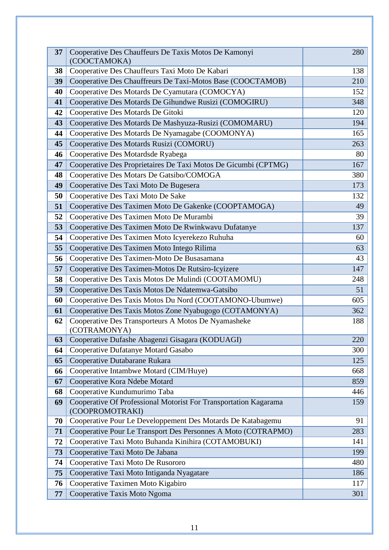| 37 | Cooperative Des Chauffeurs De Taxis Motos De Kamonyi<br>(COOCTAMOKA)                | 280 |
|----|-------------------------------------------------------------------------------------|-----|
| 38 | Cooperative Des Chauffeurs Taxi Moto De Kabari                                      | 138 |
| 39 | Cooperative Des Chauffreurs De Taxi-Motos Base (COOCTAMOB)                          | 210 |
| 40 | Cooperative Des Motards De Cyamutara (COMOCYA)                                      | 152 |
| 41 | Cooperative Des Motards De Gihundwe Rusizi (COMOGIRU)                               | 348 |
| 42 | Cooperative Des Motards De Gitoki                                                   | 120 |
| 43 | Cooperative Des Motards De Mashyuza-Rusizi (COMOMARU)                               | 194 |
| 44 | Cooperative Des Motards De Nyamagabe (COOMONYA)                                     | 165 |
| 45 | Cooperative Des Motards Rusizi (COMORU)                                             | 263 |
| 46 | Cooperative Des Motardsde Ryabega                                                   | 80  |
| 47 | Cooperative Des Proprietaires De Taxi Motos De Gicumbi (CPTMG)                      | 167 |
| 48 | Cooperative Des Motars De Gatsibo/COMOGA                                            | 380 |
| 49 | Cooperative Des Taxi Moto De Bugesera                                               | 173 |
| 50 | Cooperative Des Taxi Moto De Sake                                                   | 132 |
| 51 | Cooperative Des Taximen Moto De Gakenke (COOPTAMOGA)                                | 49  |
| 52 | Cooperative Des Taximen Moto De Murambi                                             | 39  |
| 53 | Cooperative Des Taximen Moto De Rwinkwavu Dufatanye                                 | 137 |
| 54 | Cooperative Des Taximen Moto Icyerekezo Ruhuha                                      | 60  |
| 55 | Cooperative Des Taximen Moto Intego Rilima                                          | 63  |
| 56 | Cooperative Des Taximen-Moto De Busasamana                                          | 43  |
| 57 | Cooperative Des Taximen-Motos De Rutsiro-Icyizere                                   | 147 |
| 58 | Cooperative Des Taxis Motos De Mulindi (COOTAMOMU)                                  | 248 |
| 59 | Cooperative Des Taxis Motos De Ndatemwa-Gatsibo                                     | 51  |
| 60 | Cooperative Des Taxis Motos Du Nord (COOTAMONO-Ubumwe)                              | 605 |
| 61 | Cooperative Des Taxis Motos Zone Nyabugogo (COTAMONYA)                              | 362 |
| 62 | Cooperative Des Transporteurs A Motos De Nyamasheke<br>(COTRAMONYA)                 | 188 |
| 63 | Cooperative Dufashe Abagenzi Gisagara (KODUAGI)                                     | 220 |
| 64 | Cooperative Dufatanye Motard Gasabo                                                 | 300 |
| 65 | Cooperative Dutabarane Rukara                                                       | 125 |
| 66 | Cooperative Intambwe Motard (CIM/Huye)                                              | 668 |
| 67 | Cooperative Kora Ndebe Motard                                                       | 859 |
| 68 | Cooperative Kundumurimo Taba                                                        | 446 |
| 69 | Cooperative Of Professional Motorist For Transportation Kagarama<br>(COOPROMOTRAKI) | 159 |
| 70 | Cooperative Pour Le Developpement Des Motards De Katabagemu                         | 91  |
| 71 | Cooperative Pour Le Transport Des Personnes A Moto (COTRAPMO)                       | 283 |
| 72 | Cooperative Taxi Moto Buhanda Kinihira (COTAMOBUKI)                                 | 141 |
| 73 | Cooperative Taxi Moto De Jabana                                                     | 199 |
| 74 | Cooperative Taxi Moto De Rusororo                                                   | 480 |
| 75 | Cooperative Taxi Moto Intiganda Nyagatare                                           | 186 |
| 76 | Cooperative Taximen Moto Kigabiro                                                   | 117 |
| 77 | Cooperative Taxis Moto Ngoma                                                        | 301 |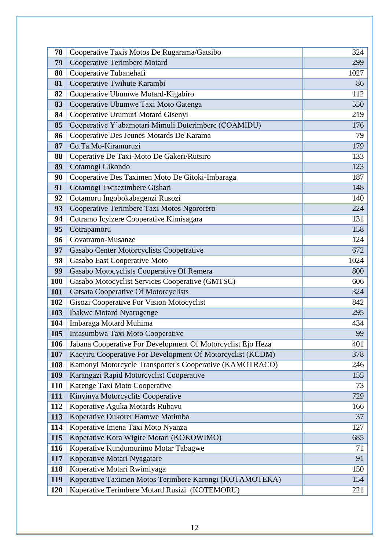| 78         | Cooperative Taxis Motos De Rugarama/Gatsibo                 | 324  |
|------------|-------------------------------------------------------------|------|
| 79         | <b>Cooperative Terimbere Motard</b>                         | 299  |
| 80         | Cooperative Tubanehafi                                      | 1027 |
| 81         | Cooperative Twihute Karambi                                 | 86   |
| 82         | Cooperative Ubumwe Motard-Kigabiro                          | 112  |
| 83         | Cooperative Ubumwe Taxi Moto Gatenga                        | 550  |
| 84         | Cooperative Urumuri Motard Gisenyi                          | 219  |
| 85         | Cooperative Y'abamotari Mimuli Duterimbere (COAMIDU)        | 176  |
| 86         | Cooperative Des Jeunes Motards De Karama                    | 79   |
| 87         | Co.Ta.Mo-Kiramuruzi                                         | 179  |
| 88         | Coperative De Taxi-Moto De Gakeri/Rutsiro                   | 133  |
| 89         | Cotamogi Gikondo                                            | 123  |
| 90         | Cooperative Des Taximen Moto De Gitoki-Imbaraga             | 187  |
| 91         | Cotamogi Twitezimbere Gishari                               | 148  |
| 92         | Cotamoru Ingobokabagenzi Rusozi                             | 140  |
| 93         | Cooperative Terimbere Taxi Motos Ngororero                  | 224  |
| 94         | Cotramo Icyizere Cooperative Kimisagara                     | 131  |
| 95         | Cotrapamoru                                                 | 158  |
| 96         | Covatramo-Musanze                                           | 124  |
| 97         | Gasabo Center Motorcyclists Coopetrative                    | 672  |
| 98         | Gasabo East Cooperative Moto                                | 1024 |
| 99         | Gasabo Motocyclists Cooperative Of Remera                   | 800  |
| <b>100</b> | Gasabo Motocyclist Services Cooperative (GMTSC)             | 606  |
| 101        | <b>Gatsata Cooperative Of Motorcyclists</b>                 | 324  |
| 102        | Gisozi Cooperative For Vision Motocyclist                   | 842  |
| 103        | <b>Ibakwe Motard Nyarugenge</b>                             | 295  |
| 104        | Imbaraga Motard Muhima                                      | 434  |
| 105        | Intasumbwa Taxi Moto Cooperative                            | 99   |
| 106        | Jabana Cooperative For Development Of Motorcyclist Ejo Heza | 401  |
| 107        | Kacyiru Cooperative For Development Of Motorcyclist (KCDM)  | 378  |
| 108        | Kamonyi Motorcycle Transporter's Cooperative (KAMOTRACO)    | 246  |
| 109        | Karangazi Rapid Motorcyclist Cooperative                    | 155  |
| 110        | Karenge Taxi Moto Cooperative                               | 73   |
| 111        | Kinyinya Motorcyclits Cooperative                           | 729  |
| 112        | Koperative Aguka Motards Rubavu                             | 166  |
| 113        | Koperative Dukorer Hamwe Matimba                            | 37   |
| 114        | Koperative Imena Taxi Moto Nyanza                           | 127  |
| 115        | Koperative Kora Wigire Motari (KOKOWIMO)                    | 685  |
| 116        | Koperative Kundumurimo Motar Tabagwe                        | 71   |
| 117        | Koperative Motari Nyagatare                                 | 91   |
| 118        | Koperative Motari Rwimiyaga                                 | 150  |
| 119        | Koperative Taximen Motos Terimbere Karongi (KOTAMOTEKA)     | 154  |
| 120        | Koperative Terimbere Motard Rusizi (KOTEMORU)               | 221  |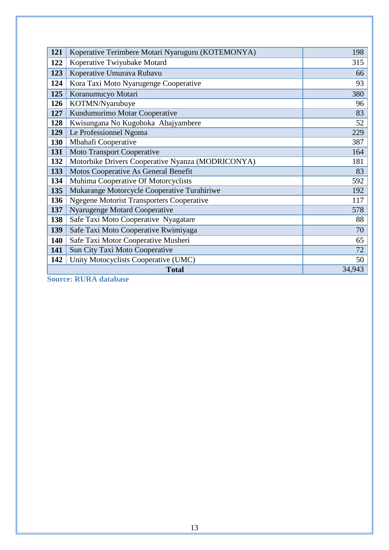| 121 | Koperative Terimbere Motari Nyaruguru (KOTEMONYA) | 198    |
|-----|---------------------------------------------------|--------|
| 122 | Koperative Twiyubake Motard                       | 315    |
|     |                                                   |        |
| 123 | Koperative Umurava Rubavu                         | 66     |
| 124 | Kora Taxi Moto Nyarugenge Cooperative             | 93     |
| 125 | Koranumucyo Motari                                | 380    |
| 126 | KOTMN/Nyarubuye                                   | 96     |
| 127 | Kundumurimo Motar Cooperative                     | 83     |
| 128 | Kwisungana No Kugoboka Abajyambere                | 52     |
| 129 | Le Professionnel Ngoma                            | 229    |
| 130 | Mbahafi Cooperative                               | 387    |
| 131 | <b>Moto Transport Cooperative</b>                 | 164    |
| 132 | Motorbike Drivers Cooperative Nyanza (MODRICONYA) | 181    |
| 133 | Motos Cooperative As General Benefit              | 83     |
| 134 | Muhima Cooperative Of Motorcyclists               | 592    |
| 135 | Mukarange Motorcycle Cooperative Turahiriwe       | 192    |
| 136 | <b>Ngegene Motorist Transporters Cooperative</b>  | 117    |
| 137 | <b>Nyarugenge Motard Cooperative</b>              | 578    |
| 138 | Safe Taxi Moto Cooperative Nyagatare              | 88     |
| 139 | Safe Taxi Moto Cooperative Rwimiyaga              | 70     |
| 140 | Safe Taxi Motor Cooperative Musheri               | 65     |
| 141 | Sun City Taxi Moto Cooperative                    | 72     |
| 142 | Unity Motocyclists Cooperative (UMC)              | 50     |
|     | <b>Total</b>                                      | 34,943 |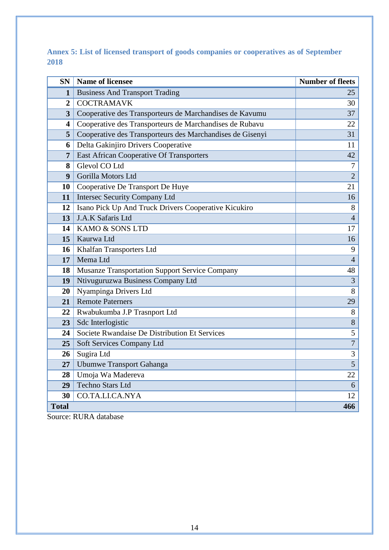**Annex 5: List of licensed transport of goods companies or cooperatives as of September**  

| <b>SN</b>               | <b>Name of licensee</b>                                   | <b>Number of fleets</b> |
|-------------------------|-----------------------------------------------------------|-------------------------|
| 1                       | <b>Business And Transport Trading</b>                     | 25                      |
| $\overline{2}$          | <b>COCTRAMAVK</b>                                         | 30                      |
| $\overline{\mathbf{3}}$ | Cooperative des Transporteurs de Marchandises de Kavumu   | 37                      |
| 4                       | Cooperative des Transporteurs de Marchandises de Rubavu   | 22                      |
| 5                       | Cooperative des Transporteurs des Marchandises de Gisenyi | 31                      |
| 6                       | Delta Gakinjiro Drivers Cooperative                       | 11                      |
| $\overline{7}$          | East African Cooperative Of Transporters                  | 42                      |
| 8                       | Glevol CO Ltd                                             | $\overline{7}$          |
| 9                       | Gorilla Motors Ltd                                        | $\overline{2}$          |
| 10                      | Cooperative De Transport De Huye                          | 21                      |
| 11                      | <b>Intersec Security Company Ltd</b>                      | 16                      |
| 12                      | Isano Pick Up And Truck Drivers Cooperative Kicukiro      | 8                       |
| 13                      | J.A.K Safaris Ltd                                         | $\overline{4}$          |
| 14                      | KAMO & SONS LTD                                           | 17                      |
| 15                      | Kaurwa Ltd                                                | 16                      |
| 16                      | Khalfan Transporters Ltd                                  | 9                       |
| 17                      | Mema Ltd                                                  | $\overline{4}$          |
| 18                      | <b>Musanze Transportation Support Service Company</b>     | 48                      |
| 19                      | Ntivuguruzwa Business Company Ltd                         | $\overline{3}$          |
| 20                      | Nyampinga Drivers Ltd                                     | 8                       |
| 21                      | <b>Remote Paterners</b>                                   | 29                      |
| 22                      | Rwabukumba J.P Trasnport Ltd                              | $8\,$                   |
| 23                      | Sdc Interlogistic                                         | 8                       |
| 24                      | Societe Rwandaise De Distribution Et Services             | $\overline{5}$          |
| 25                      | Soft Services Company Ltd                                 | $\overline{7}$          |
| 26                      | Sugira Ltd                                                | 3                       |
| 27                      | <b>Ubumwe Transport Gahanga</b>                           | $\overline{5}$          |
| 28                      | Umoja Wa Madereva                                         | 22                      |
| 29                      | <b>Techno Stars Ltd</b>                                   | 6                       |
| 30                      | CO.TA.LI.CA.NYA                                           | 12                      |
| <b>Total</b>            |                                                           | 466                     |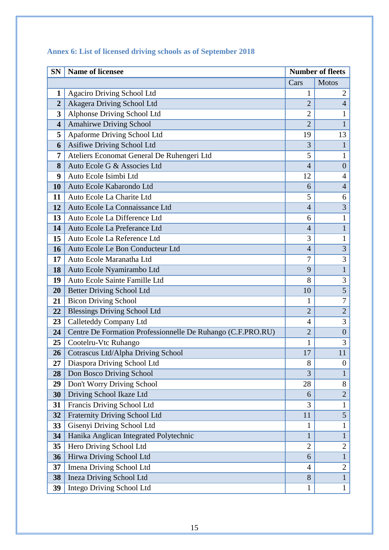| <b>SN</b>               | <b>Name of licensee</b><br><b>Number of fleets</b>          |                     |                                |
|-------------------------|-------------------------------------------------------------|---------------------|--------------------------------|
|                         |                                                             | Cars                | <b>Motos</b>                   |
| 1                       | Agaciro Driving School Ltd                                  | 1                   | $\overline{2}$                 |
| $\overline{2}$          | Akagera Driving School Ltd                                  | $\overline{2}$      | $\overline{4}$                 |
| 3                       | Alphonse Driving School Ltd                                 | $\overline{2}$      | 1                              |
| $\overline{\mathbf{4}}$ | Amahirwe Driving School                                     | $\overline{2}$      | $\mathbf{1}$                   |
| 5                       | Apaforme Driving School Ltd                                 | 19                  | 13                             |
| 6                       | Asifiwe Driving School Ltd                                  | 3                   | $\mathbf{1}$                   |
| 7                       | Ateliers Economat General De Ruhengeri Ltd                  | 5                   | 1                              |
| 8                       | Auto Ecole G & Associes Ltd                                 | $\overline{4}$      | $\overline{0}$                 |
| 9                       | Auto Ecole Isimbi Ltd                                       | 12                  | $\overline{4}$                 |
| 10                      | Auto Ecole Kabarondo Ltd                                    | 6                   | $\overline{4}$                 |
| 11                      | Auto Ecole La Charite Ltd                                   | 5                   | 6                              |
| 12                      | Auto Ecole La Connaissance Ltd                              | $\overline{4}$      | $\overline{3}$                 |
| 13                      | Auto Ecole La Difference Ltd                                | 6                   | $\mathbf{1}$                   |
| 14                      | Auto Ecole La Preferance Ltd                                | $\overline{4}$      | $\mathbf{1}$                   |
| 15                      | Auto Ecole La Reference Ltd                                 | 3                   | 1                              |
| 16                      | Auto Ecole Le Bon Conducteur Ltd                            | $\overline{4}$      | $\overline{3}$                 |
| 17                      | Auto Ecole Maranatha Ltd                                    | $\overline{7}$      | 3                              |
| 18                      | Auto Ecole Nyamirambo Ltd                                   | 9                   | $\mathbf{1}$                   |
| 19                      | Auto Ecole Sainte Famille Ltd                               | 8                   | 3                              |
| 20                      | Better Driving School Ltd                                   | 10                  | $\overline{5}$                 |
| 21                      | <b>Bicon Driving School</b>                                 | 1                   | $\overline{7}$                 |
| 22                      | <b>Blessings Driving School Ltd</b>                         | $\overline{2}$      | $\overline{2}$                 |
| 23                      | Calleteddy Company Ltd                                      | 4                   | 3                              |
| 24                      | Centre De Formation Professionnelle De Ruhango (C.F.PRO.RU) | $\overline{2}$      | $\boldsymbol{0}$               |
| 25                      | Cootelru-Vtc Ruhango                                        | 1                   | 3                              |
| 26                      | Cotrascus Ltd/Alpha Driving School                          | 17                  | 11                             |
| 27                      | Diaspora Driving School Ltd                                 | 8                   | $\boldsymbol{0}$               |
| 28                      | Don Bosco Driving School                                    | 3                   | $\mathbf{1}$                   |
| 29                      | Don't Worry Driving School                                  | 28                  | 8                              |
| 30                      | Driving School Ikaze Ltd                                    | 6                   | $\overline{2}$                 |
| 31                      | Francis Driving School Ltd                                  | 3                   | $\mathbf{1}$                   |
| 32                      | Fraternity Driving School Ltd                               | 11                  | $\overline{5}$                 |
| 33                      | Gisenyi Driving School Ltd                                  | $\mathbf{1}$        | $\mathbf{1}$                   |
| 34                      | Hanika Anglican Integrated Polytechnic                      | $\mathbf{1}$        | $\mathbf{1}$                   |
| 35                      | Hero Driving School Ltd                                     | $\overline{2}$      | $\overline{2}$                 |
| 36                      | Hirwa Driving School Ltd                                    | 6                   | $\mathbf{1}$                   |
| 37                      | Imena Driving School Ltd<br><b>Ineza Driving School Ltd</b> | $\overline{4}$<br>8 | $\mathbf{2}$<br>$\overline{1}$ |
| 38                      |                                                             |                     |                                |
| 39                      | Intego Driving School Ltd                                   | $\mathbf{1}$        | $\mathbf{1}$                   |

# <span id="page-16-0"></span>**Annex 6: List of licensed driving schools as of September 2018**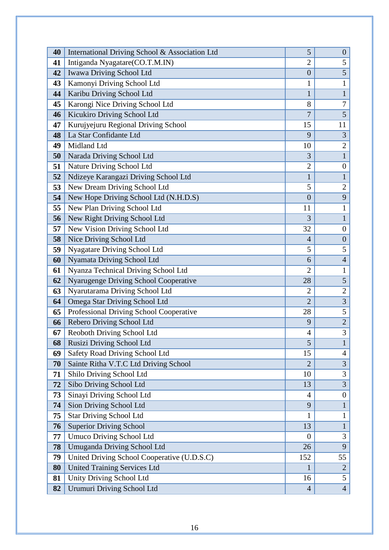| 40 | International Driving School & Association Ltd | 5              | $\theta$         |
|----|------------------------------------------------|----------------|------------------|
| 41 | Intiganda Nyagatare(CO.T.M.IN)                 | $\overline{2}$ | 5                |
| 42 | Iwawa Driving School Ltd                       | $\overline{0}$ | $\overline{5}$   |
| 43 | Kamonyi Driving School Ltd                     | 1              | $\mathbf{1}$     |
| 44 | Karibu Driving School Ltd                      | $\mathbf{1}$   | $\mathbf{1}$     |
| 45 | Karongi Nice Driving School Ltd                | 8              | $\overline{7}$   |
| 46 | Kicukiro Driving School Ltd                    | $\overline{7}$ | $5\overline{)}$  |
| 47 | Kurujyejuru Regional Driving School            | 15             | 11               |
| 48 | La Star Confidante Ltd                         | 9              | 3                |
| 49 | Midland Ltd                                    | 10             | $\overline{2}$   |
| 50 | Narada Driving School Ltd                      | 3              | $\overline{1}$   |
| 51 | Nature Driving School Ltd                      | $\mathbf{2}$   | $\boldsymbol{0}$ |
| 52 | Ndizeye Karangazi Driving School Ltd           | $\mathbf{1}$   | $\mathbf{1}$     |
| 53 | New Dream Driving School Ltd                   | 5              | $\overline{2}$   |
| 54 | New Hope Driving School Ltd (N.H.D.S)          | $\overline{0}$ | 9                |
| 55 | New Plan Driving School Ltd                    | 11             | $\mathbf{1}$     |
| 56 | New Right Driving School Ltd                   | 3              | $\mathbf{1}$     |
| 57 | New Vision Driving School Ltd                  | 32             | $\overline{0}$   |
| 58 | Nice Driving School Ltd                        | $\overline{4}$ | $\boldsymbol{0}$ |
| 59 | Nyagatare Driving School Ltd                   | 5              | 5                |
| 60 | Nyamata Driving School Ltd                     | 6              | $\overline{4}$   |
| 61 | Nyanza Technical Driving School Ltd            | $\overline{2}$ | $\mathbf{1}$     |
| 62 | Nyarugenge Driving School Cooperative          | 28             | 5                |
| 63 | Nyarutarama Driving School Ltd                 | $\overline{2}$ | $\overline{2}$   |
| 64 | Omega Star Driving School Ltd                  | $\overline{2}$ | $\overline{3}$   |
| 65 | Professional Driving School Cooperative        | 28             | 5                |
| 66 | Rebero Driving School Ltd                      | 9              | $\overline{2}$   |
| 67 | Reoboth Driving School Ltd                     | 4              | $\overline{3}$   |
| 68 | Rusizi Driving School Ltd                      | 5              |                  |
| 69 | Safety Road Driving School Ltd                 | 15             | $\overline{4}$   |
| 70 | Sainte Ritha V.T.C Ltd Driving School          | $\overline{2}$ | $\overline{3}$   |
| 71 | Shilo Driving School Ltd                       | 10             | 3                |
| 72 | Sibo Driving School Ltd                        | 13             | $\overline{3}$   |
| 73 | Sinayi Driving School Ltd                      | $\overline{4}$ | $\boldsymbol{0}$ |
| 74 | Sion Driving School Ltd                        | 9              | $\mathbf{1}$     |
| 75 | <b>Star Driving School Ltd</b>                 | 1              | $\mathbf{1}$     |
| 76 | <b>Superior Driving School</b>                 | 13             | $\mathbf{1}$     |
| 77 | <b>Umuco Driving School Ltd</b>                | $\theta$       | 3                |
| 78 | Umuganda Driving School Ltd                    | 26             | 9                |
| 79 | United Driving School Cooperative (U.D.S.C)    | 152            | 55               |
| 80 | <b>United Training Services Ltd</b>            | 1              | $\overline{2}$   |
| 81 | Unity Driving School Ltd                       | 16             | 5                |
| 82 | <b>Urumuri Driving School Ltd</b>              | $\overline{4}$ | $\overline{4}$   |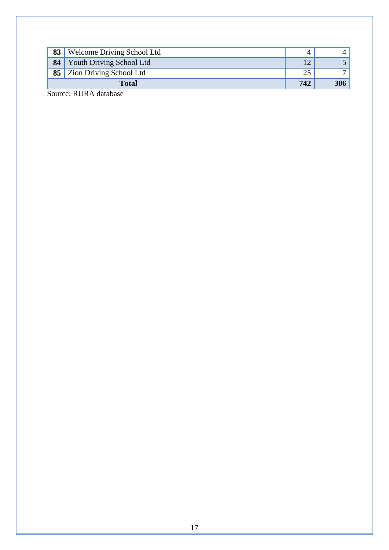<span id="page-18-0"></span>

|    | <b>Total</b>                      | 742 | 306 |
|----|-----------------------------------|-----|-----|
|    | 85 Zion Driving School Ltd        | 25  |     |
| 84 | Youth Driving School Ltd          |     |     |
| 83 | <b>Welcome Driving School Ltd</b> |     |     |